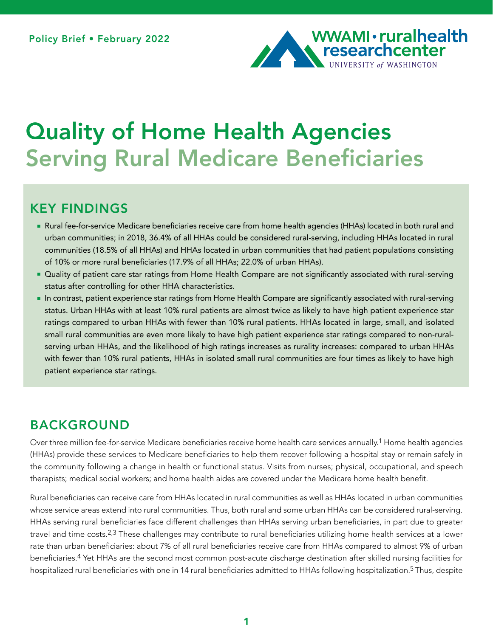

# Quality of Home Health Agencies Serving Rural Medicare Beneficiaries

### KEY FINDINGS

- Rural fee-for-service Medicare beneficiaries receive care from home health agencies (HHAs) located in both rural and urban communities; in 2018, 36.4% of all HHAs could be considered rural-serving, including HHAs located in rural communities (18.5% of all HHAs) and HHAs located in urban communities that had patient populations consisting of 10% or more rural beneficiaries (17.9% of all HHAs; 22.0% of urban HHAs).
- **Quality of patient care star ratings from Home Health Compare are not significantly associated with rural-serving** status after controlling for other HHA characteristics.
- In contrast, patient experience star ratings from Home Health Compare are significantly associated with rural-serving status. Urban HHAs with at least 10% rural patients are almost twice as likely to have high patient experience star ratings compared to urban HHAs with fewer than 10% rural patients. HHAs located in large, small, and isolated small rural communities are even more likely to have high patient experience star ratings compared to non-ruralserving urban HHAs, and the likelihood of high ratings increases as rurality increases: compared to urban HHAs with fewer than 10% rural patients, HHAs in isolated small rural communities are four times as likely to have high patient experience star ratings.

### BACKGROUND

Over three million fee-for-service Medicare beneficiaries receive home health care services annually.<sup>1</sup> Home health agencies (HHAs) provide these services to Medicare beneficiaries to help them recover following a hospital stay or remain safely in the community following a change in health or functional status. Visits from nurses; physical, occupational, and speech therapists; medical social workers; and home health aides are covered under the Medicare home health benefit.

Rural beneficiaries can receive care from HHAs located in rural communities as well as HHAs located in urban communities whose service areas extend into rural communities. Thus, both rural and some urban HHAs can be considered rural-serving. HHAs serving rural beneficiaries face different challenges than HHAs serving urban beneficiaries, in part due to greater travel and time costs.2,3 These challenges may contribute to rural beneficiaries utilizing home health services at a lower rate than urban beneficiaries: about 7% of all rural beneficiaries receive care from HHAs compared to almost 9% of urban beneficiaries.4 Yet HHAs are the second most common post-acute discharge destination after skilled nursing facilities for hospitalized rural beneficiaries with one in 14 rural beneficiaries admitted to HHAs following hospitalization.<sup>5</sup> Thus, despite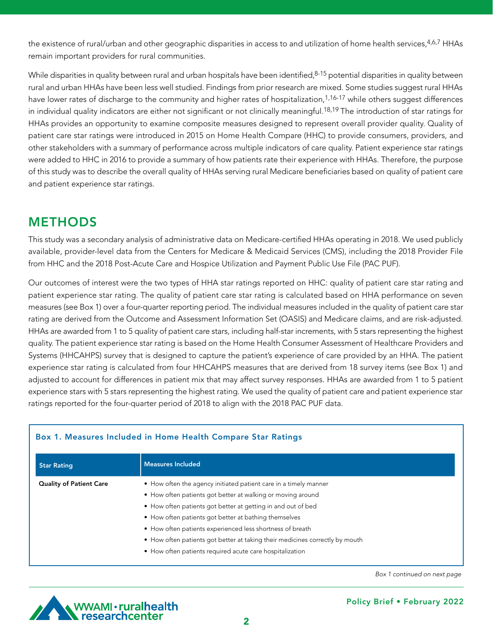the existence of rural/urban and other geographic disparities in access to and utilization of home health services, 4,6,7 HHAs remain important providers for rural communities.

While disparities in quality between rural and urban hospitals have been identified, 8-15 potential disparities in quality between rural and urban HHAs have been less well studied. Findings from prior research are mixed. Some studies suggest rural HHAs have lower rates of discharge to the community and higher rates of hospitalization,<sup>1,16-17</sup> while others suggest differences in individual quality indicators are either not significant or not clinically meaningful.<sup>18,19</sup> The introduction of star ratings for HHAs provides an opportunity to examine composite measures designed to represent overall provider quality. Quality of patient care star ratings were introduced in 2015 on Home Health Compare (HHC) to provide consumers, providers, and other stakeholders with a summary of performance across multiple indicators of care quality. Patient experience star ratings were added to HHC in 2016 to provide a summary of how patients rate their experience with HHAs. Therefore, the purpose of this study was to describe the overall quality of HHAs serving rural Medicare beneficiaries based on quality of patient care and patient experience star ratings.

# METHODS

This study was a secondary analysis of administrative data on Medicare-certified HHAs operating in 2018. We used publicly available, provider-level data from the Centers for Medicare & Medicaid Services (CMS), including the 2018 Provider File from HHC and the 2018 Post-Acute Care and Hospice Utilization and Payment Public Use File (PAC PUF).

Our outcomes of interest were the two types of HHA star ratings reported on HHC: quality of patient care star rating and patient experience star rating. The quality of patient care star rating is calculated based on HHA performance on seven measures (see Box 1) over a four-quarter reporting period. The individual measures included in the quality of patient care star rating are derived from the Outcome and Assessment Information Set (OASIS) and Medicare claims, and are risk-adjusted. HHAs are awarded from 1 to 5 quality of patient care stars, including half-star increments, with 5 stars representing the highest quality. The patient experience star rating is based on the Home Health Consumer Assessment of Healthcare Providers and Systems (HHCAHPS) survey that is designed to capture the patient's experience of care provided by an HHA. The patient experience star rating is calculated from four HHCAHPS measures that are derived from 18 survey items (see Box 1) and adjusted to account for differences in patient mix that may affect survey responses. HHAs are awarded from 1 to 5 patient experience stars with 5 stars representing the highest rating. We used the quality of patient care and patient experience star ratings reported for the four-quarter period of 2018 to align with the 2018 PAC PUF data.

| <b>Star Rating</b>             | <b>Measures Included</b>                                                     |
|--------------------------------|------------------------------------------------------------------------------|
| <b>Quality of Patient Care</b> | • How often the agency initiated patient care in a timely manner             |
|                                | • How often patients got better at walking or moving around                  |
|                                | • How often patients got better at getting in and out of bed                 |
|                                | • How often patients got better at bathing themselves                        |
|                                | • How often patients experienced less shortness of breath                    |
|                                | • How often patients got better at taking their medicines correctly by mouth |
|                                | • How often patients required acute care hospitalization                     |

#### Box 1. Measures Included in Home Health Compare Star Ratings

*Box 1 continued on next page*

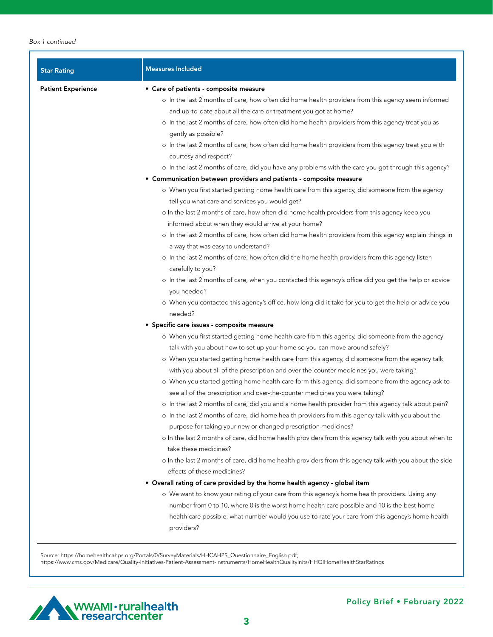| <b>Star Rating</b>        | <b>Measures Included</b>                                                                                                                                                    |
|---------------------------|-----------------------------------------------------------------------------------------------------------------------------------------------------------------------------|
| <b>Patient Experience</b> | • Care of patients - composite measure                                                                                                                                      |
|                           | o In the last 2 months of care, how often did home health providers from this agency seem informed                                                                          |
|                           | and up-to-date about all the care or treatment you got at home?                                                                                                             |
|                           | o In the last 2 months of care, how often did home health providers from this agency treat you as<br>gently as possible?                                                    |
|                           | o In the last 2 months of care, how often did home health providers from this agency treat you with                                                                         |
|                           | courtesy and respect?                                                                                                                                                       |
|                           | o In the last 2 months of care, did you have any problems with the care you got through this agency?                                                                        |
|                           | • Communication between providers and patients - composite measure                                                                                                          |
|                           | o When you first started getting home health care from this agency, did someone from the agency                                                                             |
|                           | tell you what care and services you would get?                                                                                                                              |
|                           | o In the last 2 months of care, how often did home health providers from this agency keep you                                                                               |
|                           | informed about when they would arrive at your home?                                                                                                                         |
|                           | o In the last 2 months of care, how often did home health providers from this agency explain things in                                                                      |
|                           | a way that was easy to understand?                                                                                                                                          |
|                           | o In the last 2 months of care, how often did the home health providers from this agency listen                                                                             |
|                           | carefully to you?                                                                                                                                                           |
|                           | o In the last 2 months of care, when you contacted this agency's office did you get the help or advice<br>you needed?                                                       |
|                           | o When you contacted this agency's office, how long did it take for you to get the help or advice you<br>needed?                                                            |
|                           | · Specific care issues - composite measure                                                                                                                                  |
|                           | o When you first started getting home health care from this agency, did someone from the agency                                                                             |
|                           | talk with you about how to set up your home so you can move around safely?                                                                                                  |
|                           | o When you started getting home health care from this agency, did someone from the agency talk                                                                              |
|                           | with you about all of the prescription and over-the-counter medicines you were taking?                                                                                      |
|                           | o When you started getting home health care form this agency, did someone from the agency ask to                                                                            |
|                           | see all of the prescription and over-the-counter medicines you were taking?                                                                                                 |
|                           | o In the last 2 months of care, did you and a home health provider from this agency talk about pain?                                                                        |
|                           | o In the last 2 months of care, did home health providers from this agency talk with you about the<br>purpose for taking your new or changed prescription medicines?        |
|                           | o In the last 2 months of care, did home health providers from this agency talk with you about when to                                                                      |
|                           | take these medicines?                                                                                                                                                       |
|                           | o In the last 2 months of care, did home health providers from this agency talk with you about the side                                                                     |
|                           | effects of these medicines?                                                                                                                                                 |
|                           | • Overall rating of care provided by the home health agency - global item<br>o We want to know your rating of your care from this agency's home health providers. Using any |
|                           | number from 0 to 10, where 0 is the worst home health care possible and 10 is the best home                                                                                 |
|                           | health care possible, what number would you use to rate your care from this agency's home health                                                                            |
|                           | providers?                                                                                                                                                                  |

Source: https://homehealthcahps.org/Portals/0/SurveyMaterials/HHCAHPS\_Questionnaire\_English.pdf; https://www.cms.gov/Medicare/Quality-Initiatives-Patient-Assessment-Instruments/HomeHealthQualityInits/HHQIHomeHealthStarRatings

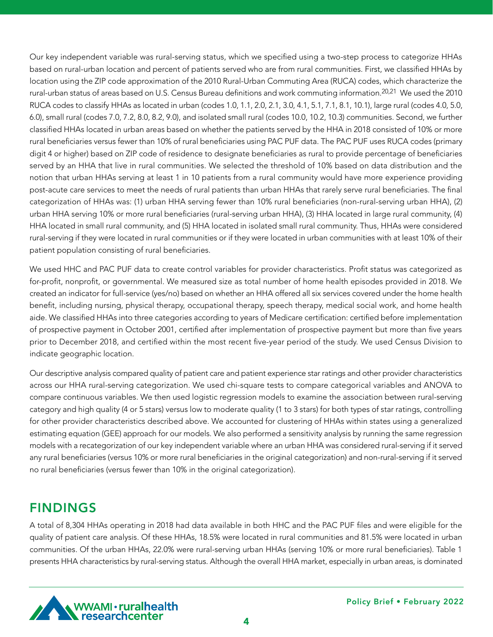Our key independent variable was rural-serving status, which we specified using a two-step process to categorize HHAs based on rural-urban location and percent of patients served who are from rural communities. First, we classified HHAs by location using the ZIP code approximation of the 2010 Rural-Urban Commuting Area (RUCA) codes, which characterize the rural-urban status of areas based on U.S. Census Bureau definitions and work commuting information.<sup>20,21</sup> We used the 2010 RUCA codes to classify HHAs as located in urban (codes 1.0, 1.1, 2.0, 2.1, 3.0, 4.1, 5.1, 7.1, 8.1, 10.1), large rural (codes 4.0, 5.0, 6.0), small rural (codes 7.0, 7.2, 8.0, 8.2, 9.0), and isolated small rural (codes 10.0, 10.2, 10.3) communities. Second, we further classified HHAs located in urban areas based on whether the patients served by the HHA in 2018 consisted of 10% or more rural beneficiaries versus fewer than 10% of rural beneficiaries using PAC PUF data. The PAC PUF uses RUCA codes (primary digit 4 or higher) based on ZIP code of residence to designate beneficiaries as rural to provide percentage of beneficiaries served by an HHA that live in rural communities. We selected the threshold of 10% based on data distribution and the notion that urban HHAs serving at least 1 in 10 patients from a rural community would have more experience providing post-acute care services to meet the needs of rural patients than urban HHAs that rarely serve rural beneficiaries. The final categorization of HHAs was: (1) urban HHA serving fewer than 10% rural beneficiaries (non-rural-serving urban HHA), (2) urban HHA serving 10% or more rural beneficiaries (rural-serving urban HHA), (3) HHA located in large rural community, (4) HHA located in small rural community, and (5) HHA located in isolated small rural community. Thus, HHAs were considered rural-serving if they were located in rural communities or if they were located in urban communities with at least 10% of their patient population consisting of rural beneficiaries.

We used HHC and PAC PUF data to create control variables for provider characteristics. Profit status was categorized as for-profit, nonprofit, or governmental. We measured size as total number of home health episodes provided in 2018. We created an indicator for full-service (yes/no) based on whether an HHA offered all six services covered under the home health benefit, including nursing, physical therapy, occupational therapy, speech therapy, medical social work, and home health aide. We classified HHAs into three categories according to years of Medicare certification: certified before implementation of prospective payment in October 2001, certified after implementation of prospective payment but more than five years prior to December 2018, and certified within the most recent five-year period of the study. We used Census Division to indicate geographic location.

Our descriptive analysis compared quality of patient care and patient experience star ratings and other provider characteristics across our HHA rural-serving categorization. We used chi-square tests to compare categorical variables and ANOVA to compare continuous variables. We then used logistic regression models to examine the association between rural-serving category and high quality (4 or 5 stars) versus low to moderate quality (1 to 3 stars) for both types of star ratings, controlling for other provider characteristics described above. We accounted for clustering of HHAs within states using a generalized estimating equation (GEE) approach for our models. We also performed a sensitivity analysis by running the same regression models with a recategorization of our key independent variable where an urban HHA was considered rural-serving if it served any rural beneficiaries (versus 10% or more rural beneficiaries in the original categorization) and non-rural-serving if it served no rural beneficiaries (versus fewer than 10% in the original categorization).

### FINDINGS

A total of 8,304 HHAs operating in 2018 had data available in both HHC and the PAC PUF files and were eligible for the quality of patient care analysis. Of these HHAs, 18.5% were located in rural communities and 81.5% were located in urban communities. Of the urban HHAs, 22.0% were rural-serving urban HHAs (serving 10% or more rural beneficiaries). Table 1 presents HHA characteristics by rural-serving status. Although the overall HHA market, especially in urban areas, is dominated

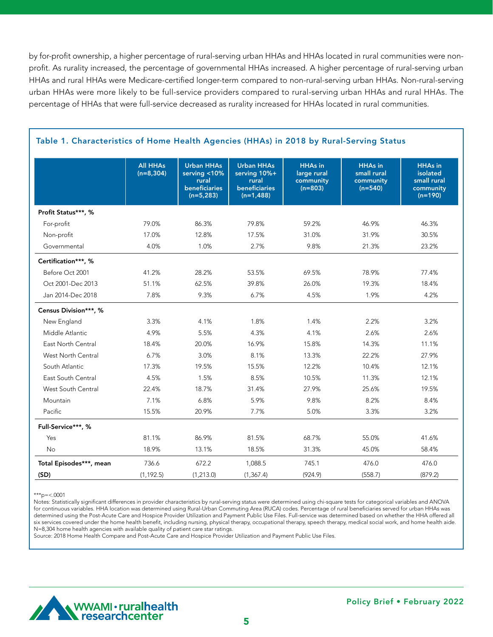by for-profit ownership, a higher percentage of rural-serving urban HHAs and HHAs located in rural communities were nonprofit. As rurality increased, the percentage of governmental HHAs increased. A higher percentage of rural-serving urban HHAs and rural HHAs were Medicare-certified longer-term compared to non-rural-serving urban HHAs. Non-rural-serving urban HHAs were more likely to be full-service providers compared to rural-serving urban HHAs and rural HHAs. The percentage of HHAs that were full-service decreased as rurality increased for HHAs located in rural communities.

|                         | <b>All HHAs</b><br>$(n=8, 304)$ | <b>Urban HHAs</b><br>serving $<$ 10%<br>rural<br>beneficiaries<br>$(n=5,283)$ | <b>Urban HHAs</b><br>serving 10%+<br>rural<br>beneficiaries<br>$(n=1,488)$ | <b>HHAs in</b><br>large rural<br>community<br>$(n=803)$ | <b>HHAs in</b><br>small rural<br>community<br>$(n=540)$ | <b>HHAs in</b><br>isolated<br>small rural<br>community<br>$(n=190)$ |
|-------------------------|---------------------------------|-------------------------------------------------------------------------------|----------------------------------------------------------------------------|---------------------------------------------------------|---------------------------------------------------------|---------------------------------------------------------------------|
| Profit Status***, %     |                                 |                                                                               |                                                                            |                                                         |                                                         |                                                                     |
| For-profit              | 79.0%                           | 86.3%                                                                         | 79.8%                                                                      | 59.2%                                                   | 46.9%                                                   | 46.3%                                                               |
| Non-profit              | 17.0%                           | 12.8%                                                                         | 17.5%                                                                      | 31.0%                                                   | 31.9%                                                   | 30.5%                                                               |
| Governmental            | 4.0%                            | 1.0%                                                                          | 2.7%                                                                       | 9.8%                                                    | 21.3%                                                   | 23.2%                                                               |
| Certification***, %     |                                 |                                                                               |                                                                            |                                                         |                                                         |                                                                     |
| Before Oct 2001         | 41.2%                           | 28.2%                                                                         | 53.5%                                                                      | 69.5%                                                   | 78.9%                                                   | 77.4%                                                               |
| Oct 2001-Dec 2013       | 51.1%                           | 62.5%                                                                         | 39.8%                                                                      | 26.0%                                                   | 19.3%                                                   | 18.4%                                                               |
| Jan 2014-Dec 2018       | 7.8%                            | 9.3%                                                                          | 6.7%                                                                       | 4.5%                                                    | 1.9%                                                    | 4.2%                                                                |
| Census Division***, %   |                                 |                                                                               |                                                                            |                                                         |                                                         |                                                                     |
| New England             | 3.3%                            | 4.1%                                                                          | 1.8%                                                                       | 1.4%                                                    | 2.2%                                                    | 3.2%                                                                |
| Middle Atlantic         | 4.9%                            | 5.5%                                                                          | 4.3%                                                                       | 4.1%                                                    | 2.6%                                                    | 2.6%                                                                |
| East North Central      | 18.4%                           | 20.0%                                                                         | 16.9%                                                                      | 15.8%                                                   | 14.3%                                                   | 11.1%                                                               |
| West North Central      | 6.7%                            | 3.0%                                                                          | 8.1%                                                                       | 13.3%                                                   | 22.2%                                                   | 27.9%                                                               |
| South Atlantic          | 17.3%                           | 19.5%                                                                         | 15.5%                                                                      | 12.2%                                                   | 10.4%                                                   | 12.1%                                                               |
| East South Central      | 4.5%                            | 1.5%                                                                          | 8.5%                                                                       | 10.5%                                                   | 11.3%                                                   | 12.1%                                                               |
| West South Central      | 22.4%                           | 18.7%                                                                         | 31.4%                                                                      | 27.9%                                                   | 25.6%                                                   | 19.5%                                                               |
| Mountain                | 7.1%                            | 6.8%                                                                          | 5.9%                                                                       | 9.8%                                                    | 8.2%                                                    | 8.4%                                                                |
| Pacific                 | 15.5%                           | 20.9%                                                                         | 7.7%                                                                       | 5.0%                                                    | 3.3%                                                    | 3.2%                                                                |
| Full-Service***, %      |                                 |                                                                               |                                                                            |                                                         |                                                         |                                                                     |
| Yes                     | 81.1%                           | 86.9%                                                                         | 81.5%                                                                      | 68.7%                                                   | 55.0%                                                   | 41.6%                                                               |
| No                      | 18.9%                           | 13.1%                                                                         | 18.5%                                                                      | 31.3%                                                   | 45.0%                                                   | 58.4%                                                               |
| Total Episodes***, mean | 736.6                           | 672.2                                                                         | 1.088.5                                                                    | 745.1                                                   | 476.0                                                   | 476.0                                                               |
| (SD)                    | (1, 192.5)                      | (1,213.0)                                                                     | (1, 367.4)                                                                 | (924.9)                                                 | (558.7)                                                 | (879.2)                                                             |

#### Table 1. Characteristics of Home Health Agencies (HHAs) in 2018 by Rural-Serving Status

 $***p=<.0001$ 

Notes: Statistically significant differences in provider characteristics by rural-serving status were determined using chi-square tests for categorical variables and ANOVA for continuous variables. HHA location was determined using Rural-Urban Commuting Area (RUCA) codes. Percentage of rural beneficiaries served for urban HHAs was determined using the Post-Acute Care and Hospice Provider Utilization and Payment Public Use Files. Full-service was determined based on whether the HHA offered all six services covered under the home health benefit, including nursing, physical therapy, occupational therapy, speech therapy, medical social work, and home health aide. N=8,304 home health agencies with available quality of patient care star ratings.

Source: 2018 Home Health Compare and Post-Acute Care and Hospice Provider Utilization and Payment Public Use Files.

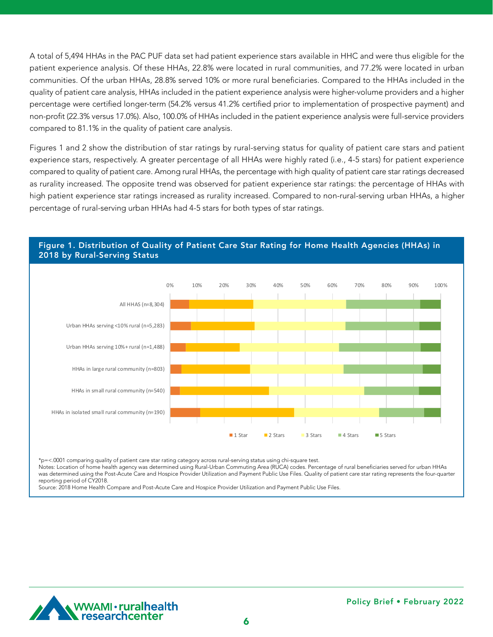A total of 5,494 HHAs in the PAC PUF data set had patient experience stars available in HHC and were thus eligible for the patient experience analysis. Of these HHAs, 22.8% were located in rural communities, and 77.2% were located in urban communities. Of the urban HHAs, 28.8% served 10% or more rural beneficiaries. Compared to the HHAs included in the quality of patient care analysis, HHAs included in the patient experience analysis were higher-volume providers and a higher percentage were certified longer-term (54.2% versus 41.2% certified prior to implementation of prospective payment) and non-profit (22.3% versus 17.0%). Also, 100.0% of HHAs included in the patient experience analysis were full-service providers compared to 81.1% in the quality of patient care analysis.

Figures 1 and 2 show the distribution of star ratings by rural-serving status for quality of patient care stars and patient experience stars, respectively. A greater percentage of all HHAs were highly rated (i.e., 4-5 stars) for patient experience compared to quality of patient care. Among rural HHAs, the percentage with high quality of patient care star ratings decreased as rurality increased. The opposite trend was observed for patient experience star ratings: the percentage of HHAs with high patient experience star ratings increased as rurality increased. Compared to non-rural-serving urban HHAs, a higher **1 Star 2 Stars 3 Stars 4 Stars 5 Stars** percentage of rural-serving urban HHAs had 4-5 stars for both types of star ratings.



#### Figure 1. Distribution of Quality of Patient Care Star Rating for Home Health Agencies (HHAs) in 2018 by Rural-Serving Status and the status of the status of the status of the status of the status of the sta  $U$ ral (n $\mathcal{I}$  )  $\mathcal{I}$  is the serving 10  $\mathcal{I}$  serving 10  $\mathcal{I}$  serving 10  $\mathcal{I}$  serving 10  $\mathcal{I}$  serving 10  $\mathcal{I}$

\*p=<.0001 comparing quality of patient care star rating category across rural-serving status using chi-square test.

Notes: Location of home health agency was determined using Rural-Urban Commuting Area (RUCA) codes. Percentage of rural beneficiaries served for urban HHAs was determined using the Post-Acute Care and Hospice Provider Utilization and Payment Public Use Files. Quality of patient care star rating represents the four-quarter reporting period of CY2018.

Source: 2018 Home Health Compare and Post-Acute Care and Hospice Provider Utilization and Payment Public Use Files.

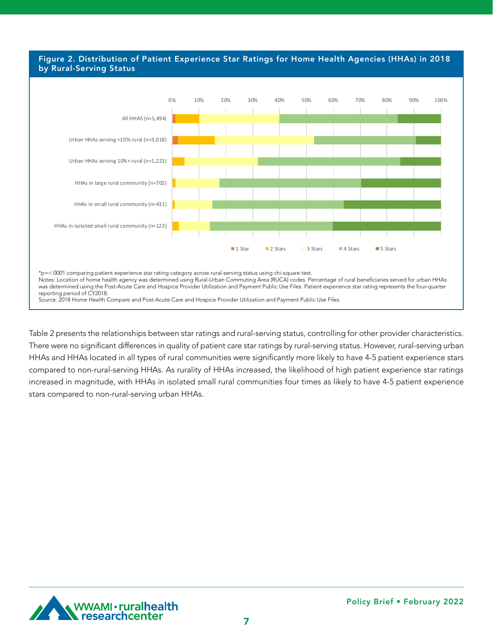#### Figure 2. Distribution of Patient Experience Star Ratings for Home Health Agencies (HHAs) in 2018 by Rural-Serving Status and the service of the service of the service of the service of the service of the ser Urban HHAs serving 10%+ rural (n=1,221) 0.4 4.2 27.4 52.9 15.2

**1 Star 2 Stars 3 Stars 4 Stars 5 Stars**



Table 2 presents the relationships between star ratings and rural-serving status, controlling for other provider characteristics. There were no significant differences in quality of patient care star ratings by rural-serving status. However, rural-serving urban HHAs and HHAs located in all types of rural communities were significantly more likely to have 4-5 patient experience stars compared to non-rural-serving HHAs. As rurality of HHAs increased, the likelihood of high patient experience star ratings increased in magnitude, with HHAs in isolated small rural communities four times as likely to have 4-5 patient experience stars compared to non-rural-serving urban HHAs.

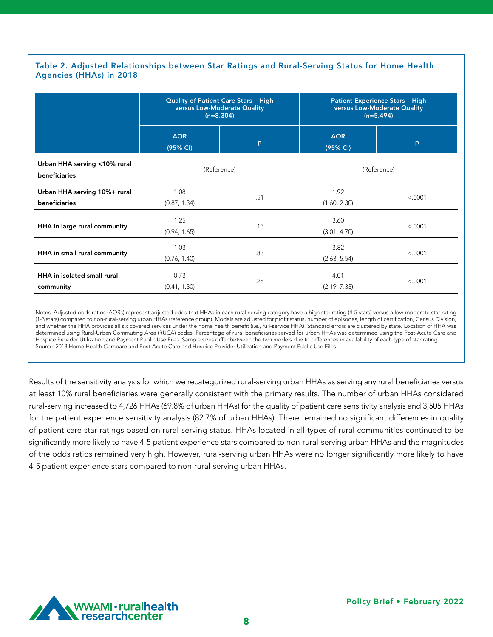#### Table 2. Adjusted Relationships between Star Ratings and Rural-Serving Status for Home Health Agencies (HHAs) in 2018

|                                               | <b>Quality of Patient Care Stars - High</b><br>versus Low-Moderate Quality<br>$(n=8, 304)$ |     | <b>Patient Experience Stars - High</b><br>versus Low-Moderate Quality<br>$(n=5, 494)$ |         |  |
|-----------------------------------------------|--------------------------------------------------------------------------------------------|-----|---------------------------------------------------------------------------------------|---------|--|
|                                               | <b>AOR</b><br>(95% CI)                                                                     | P   | <b>AOR</b><br>(95% CI)                                                                | p       |  |
| Urban HHA serving <10% rural<br>beneficiaries | (Reference)                                                                                |     | (Reference)                                                                           |         |  |
| Urban HHA serving 10%+ rural<br>beneficiaries | 1.08<br>(0.87, 1.34)                                                                       | .51 | 1.92<br>(1.60, 2.30)                                                                  | < .0001 |  |
| HHA in large rural community                  | 1.25<br>(0.94, 1.65)                                                                       | .13 | 3.60<br>(3.01, 4.70)                                                                  |         |  |
| HHA in small rural community                  | 1.03<br>(0.76, 1.40)                                                                       | .83 | 3.82<br>(2.63, 5.54)                                                                  | < .0001 |  |
| HHA in isolated small rural<br>community      | 0.73<br>.28<br>(0.41, 1.30)                                                                |     | 4.01<br>(2.19, 7.33)                                                                  | < .0001 |  |

Notes: Adjusted odds ratios (AORs) represent adjusted odds that HHAs in each rural-serving category have a high star rating (4-5 stars) versus a low-moderate star rating (1-3 stars) compared to non-rural-serving urban HHAs (reference group). Models are adjusted for profit status, number of episodes, length of certification, Census Division, and whether the HHA provides all six covered services under the home health benefit (i.e., full-service HHA). Standard errors are clustered by state. Location of HHA was determined using Rural-Urban Commuting Area (RUCA) codes. Percentage of rural beneficiaries served for urban HHAs was determined using the Post-Acute Care and Hospice Provider Utilization and Payment Public Use Files. Sample sizes differ between the two models due to differences in availability of each type of star rating. Source: 2018 Home Health Compare and Post-Acute Care and Hospice Provider Utilization and Payment Public Use Files.

Results of the sensitivity analysis for which we recategorized rural-serving urban HHAs as serving any rural beneficiaries versus at least 10% rural beneficiaries were generally consistent with the primary results. The number of urban HHAs considered rural-serving increased to 4,726 HHAs (69.8% of urban HHAs) for the quality of patient care sensitivity analysis and 3,505 HHAs for the patient experience sensitivity analysis (82.7% of urban HHAs). There remained no significant differences in quality of patient care star ratings based on rural-serving status. HHAs located in all types of rural communities continued to be significantly more likely to have 4-5 patient experience stars compared to non-rural-serving urban HHAs and the magnitudes of the odds ratios remained very high. However, rural-serving urban HHAs were no longer significantly more likely to have 4-5 patient experience stars compared to non-rural-serving urban HHAs.

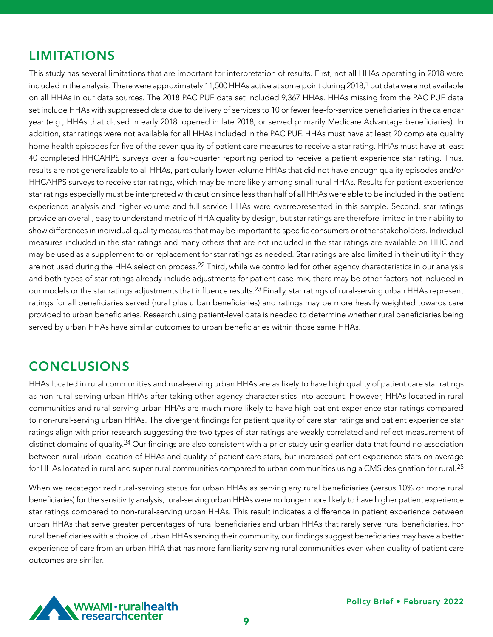# LIMITATIONS

This study has several limitations that are important for interpretation of results. First, not all HHAs operating in 2018 were included in the analysis. There were approximately 11,500 HHAs active at some point during 2018,<sup>1</sup> but data were not available on all HHAs in our data sources. The 2018 PAC PUF data set included 9,367 HHAs. HHAs missing from the PAC PUF data set include HHAs with suppressed data due to delivery of services to 10 or fewer fee-for-service beneficiaries in the calendar year (e.g., HHAs that closed in early 2018, opened in late 2018, or served primarily Medicare Advantage beneficiaries). In addition, star ratings were not available for all HHAs included in the PAC PUF. HHAs must have at least 20 complete quality home health episodes for five of the seven quality of patient care measures to receive a star rating. HHAs must have at least 40 completed HHCAHPS surveys over a four-quarter reporting period to receive a patient experience star rating. Thus, results are not generalizable to all HHAs, particularly lower-volume HHAs that did not have enough quality episodes and/or HHCAHPS surveys to receive star ratings, which may be more likely among small rural HHAs. Results for patient experience star ratings especially must be interpreted with caution since less than half of all HHAs were able to be included in the patient experience analysis and higher-volume and full-service HHAs were overrepresented in this sample. Second, star ratings provide an overall, easy to understand metric of HHA quality by design, but star ratings are therefore limited in their ability to show differences in individual quality measures that may be important to specific consumers or other stakeholders. Individual measures included in the star ratings and many others that are not included in the star ratings are available on HHC and may be used as a supplement to or replacement for star ratings as needed. Star ratings are also limited in their utility if they are not used during the HHA selection process.<sup>22</sup> Third, while we controlled for other agency characteristics in our analysis and both types of star ratings already include adjustments for patient case-mix, there may be other factors not included in our models or the star ratings adjustments that influence results.<sup>23</sup> Finally, star ratings of rural-serving urban HHAs represent ratings for all beneficiaries served (rural plus urban beneficiaries) and ratings may be more heavily weighted towards care provided to urban beneficiaries. Research using patient-level data is needed to determine whether rural beneficiaries being served by urban HHAs have similar outcomes to urban beneficiaries within those same HHAs.

## **CONCLUSIONS**

HHAs located in rural communities and rural-serving urban HHAs are as likely to have high quality of patient care star ratings as non-rural-serving urban HHAs after taking other agency characteristics into account. However, HHAs located in rural communities and rural-serving urban HHAs are much more likely to have high patient experience star ratings compared to non-rural-serving urban HHAs. The divergent findings for patient quality of care star ratings and patient experience star ratings align with prior research suggesting the two types of star ratings are weakly correlated and reflect measurement of distinct domains of quality.<sup>24</sup> Our findings are also consistent with a prior study using earlier data that found no association between rural-urban location of HHAs and quality of patient care stars, but increased patient experience stars on average for HHAs located in rural and super-rural communities compared to urban communities using a CMS designation for rural.<sup>25</sup>

When we recategorized rural-serving status for urban HHAs as serving any rural beneficiaries (versus 10% or more rural beneficiaries) for the sensitivity analysis, rural-serving urban HHAs were no longer more likely to have higher patient experience star ratings compared to non-rural-serving urban HHAs. This result indicates a difference in patient experience between urban HHAs that serve greater percentages of rural beneficiaries and urban HHAs that rarely serve rural beneficiaries. For rural beneficiaries with a choice of urban HHAs serving their community, our findings suggest beneficiaries may have a better experience of care from an urban HHA that has more familiarity serving rural communities even when quality of patient care outcomes are similar.

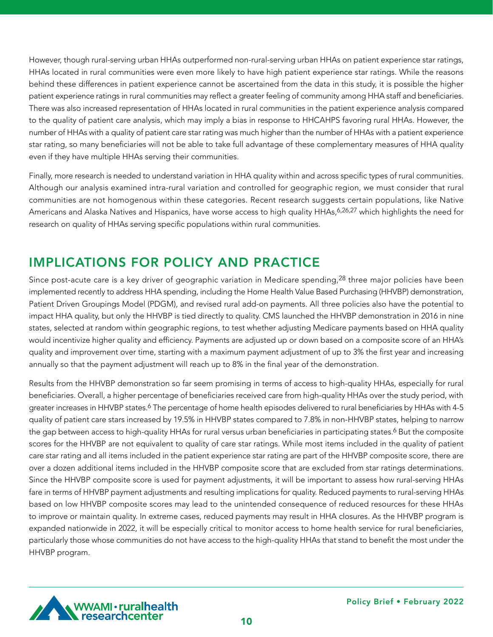However, though rural-serving urban HHAs outperformed non-rural-serving urban HHAs on patient experience star ratings, HHAs located in rural communities were even more likely to have high patient experience star ratings. While the reasons behind these differences in patient experience cannot be ascertained from the data in this study, it is possible the higher patient experience ratings in rural communities may reflect a greater feeling of community among HHA staff and beneficiaries. There was also increased representation of HHAs located in rural communities in the patient experience analysis compared to the quality of patient care analysis, which may imply a bias in response to HHCAHPS favoring rural HHAs. However, the number of HHAs with a quality of patient care star rating was much higher than the number of HHAs with a patient experience star rating, so many beneficiaries will not be able to take full advantage of these complementary measures of HHA quality even if they have multiple HHAs serving their communities.

Finally, more research is needed to understand variation in HHA quality within and across specific types of rural communities. Although our analysis examined intra-rural variation and controlled for geographic region, we must consider that rural communities are not homogenous within these categories. Recent research suggests certain populations, like Native Americans and Alaska Natives and Hispanics, have worse access to high quality HHAs, 6,26,27 which highlights the need for research on quality of HHAs serving specific populations within rural communities.

# IMPLICATIONS FOR POLICY AND PRACTICE

Since post-acute care is a key driver of geographic variation in Medicare spending,  $28$  three major policies have been implemented recently to address HHA spending, including the Home Health Value Based Purchasing (HHVBP) demonstration, Patient Driven Groupings Model (PDGM), and revised rural add-on payments. All three policies also have the potential to impact HHA quality, but only the HHVBP is tied directly to quality. CMS launched the HHVBP demonstration in 2016 in nine states, selected at random within geographic regions, to test whether adjusting Medicare payments based on HHA quality would incentivize higher quality and efficiency. Payments are adjusted up or down based on a composite score of an HHA's quality and improvement over time, starting with a maximum payment adjustment of up to 3% the first year and increasing annually so that the payment adjustment will reach up to 8% in the final year of the demonstration.

Results from the HHVBP demonstration so far seem promising in terms of access to high-quality HHAs, especially for rural beneficiaries. Overall, a higher percentage of beneficiaries received care from high-quality HHAs over the study period, with greater increases in HHVBP states.<sup>6</sup> The percentage of home health episodes delivered to rural beneficiaries by HHAs with 4-5 quality of patient care stars increased by 19.5% in HHVBP states compared to 7.8% in non-HHVBP states, helping to narrow the gap between access to high-quality HHAs for rural versus urban beneficiaries in participating states.<sup>6</sup> But the composite scores for the HHVBP are not equivalent to quality of care star ratings. While most items included in the quality of patient care star rating and all items included in the patient experience star rating are part of the HHVBP composite score, there are over a dozen additional items included in the HHVBP composite score that are excluded from star ratings determinations. Since the HHVBP composite score is used for payment adjustments, it will be important to assess how rural-serving HHAs fare in terms of HHVBP payment adjustments and resulting implications for quality. Reduced payments to rural-serving HHAs based on low HHVBP composite scores may lead to the unintended consequence of reduced resources for these HHAs to improve or maintain quality. In extreme cases, reduced payments may result in HHA closures. As the HHVBP program is expanded nationwide in 2022, it will be especially critical to monitor access to home health service for rural beneficiaries, particularly those whose communities do not have access to the high-quality HHAs that stand to benefit the most under the HHVBP program.

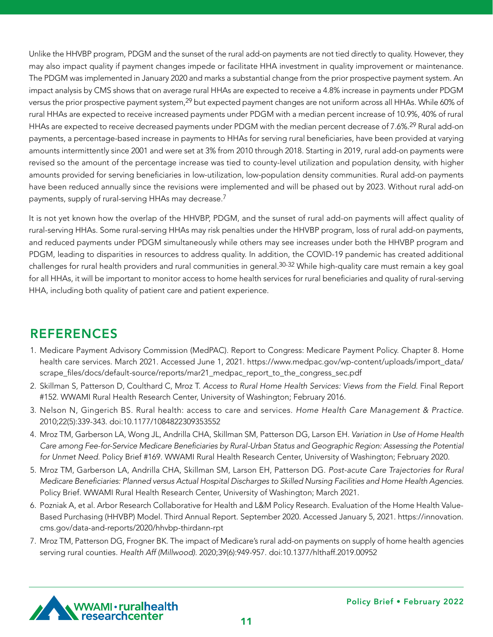Unlike the HHVBP program, PDGM and the sunset of the rural add-on payments are not tied directly to quality. However, they may also impact quality if payment changes impede or facilitate HHA investment in quality improvement or maintenance. The PDGM was implemented in January 2020 and marks a substantial change from the prior prospective payment system. An impact analysis by CMS shows that on average rural HHAs are expected to receive a 4.8% increase in payments under PDGM versus the prior prospective payment system,<sup>29</sup> but expected payment changes are not uniform across all HHAs. While 60% of rural HHAs are expected to receive increased payments under PDGM with a median percent increase of 10.9%, 40% of rural HHAs are expected to receive decreased payments under PDGM with the median percent decrease of 7.6%.29 Rural add-on payments, a percentage-based increase in payments to HHAs for serving rural beneficiaries, have been provided at varying amounts intermittently since 2001 and were set at 3% from 2010 through 2018. Starting in 2019, rural add-on payments were revised so the amount of the percentage increase was tied to county-level utilization and population density, with higher amounts provided for serving beneficiaries in low-utilization, low-population density communities. Rural add-on payments have been reduced annually since the revisions were implemented and will be phased out by 2023. Without rural add-on payments, supply of rural-serving HHAs may decrease.7

It is not yet known how the overlap of the HHVBP, PDGM, and the sunset of rural add-on payments will affect quality of rural-serving HHAs. Some rural-serving HHAs may risk penalties under the HHVBP program, loss of rural add-on payments, and reduced payments under PDGM simultaneously while others may see increases under both the HHVBP program and PDGM, leading to disparities in resources to address quality. In addition, the COVID-19 pandemic has created additional challenges for rural health providers and rural communities in general.30-32 While high-quality care must remain a key goal for all HHAs, it will be important to monitor access to home health services for rural beneficiaries and quality of rural-serving HHA, including both quality of patient care and patient experience.

# REFERENCES

- 1. Medicare Payment Advisory Commission (MedPAC). Report to Congress: Medicare Payment Policy. Chapter 8. Home health care services. March 2021. Accessed June 1, 2021. https://www.medpac.gov/wp-content/uploads/import\_data/ scrape\_files/docs/default-source/reports/mar21\_medpac\_report\_to\_the\_congress\_sec.pdf
- 2. Skillman S, Patterson D, Coulthard C, Mroz T. *Access to Rural Home Health Services: Views from the Field*. Final Report #152. WWAMI Rural Health Research Center, University of Washington; February 2016.
- 3. Nelson N, Gingerich BS. Rural health: access to care and services. *Home Health Care Management & Practice*. 2010;22(5):339-343. doi:10.1177/1084822309353552
- 4. Mroz TM, Garberson LA, Wong JL, Andrilla CHA, Skillman SM, Patterson DG, Larson EH. *Variation in Use of Home Health*  Care among Fee-for-Service Medicare Beneficiaries by Rural-Urban Status and Geographic Region: Assessing the Potential *for Unmet Need.* Policy Brief #169. WWAMI Rural Health Research Center, University of Washington; February 2020.
- 5. Mroz TM, Garberson LA, Andrilla CHA, Skillman SM, Larson EH, Patterson DG. *Post-acute Care Trajectories for Rural*  Medicare Beneficiaries: Planned versus Actual Hospital Discharges to Skilled Nursing Facilities and Home Health Agencies. Policy Brief. WWAMI Rural Health Research Center, University of Washington; March 2021.
- 6. Pozniak A, et al. Arbor Research Collaborative for Health and L&M Policy Research. Evaluation of the Home Health Value-Based Purchasing (HHVBP) Model. Third Annual Report. September 2020. Accessed January 5, 2021. https://innovation. cms.gov/data-and-reports/2020/hhvbp-thirdann-rpt
- 7. Mroz TM, Patterson DG, Frogner BK. The impact of Medicare's rural add-on payments on supply of home health agencies serving rural counties. *Health Aff (Millwood)*. 2020;39(6):949-957. doi:10.1377/hlthaff.2019.00952

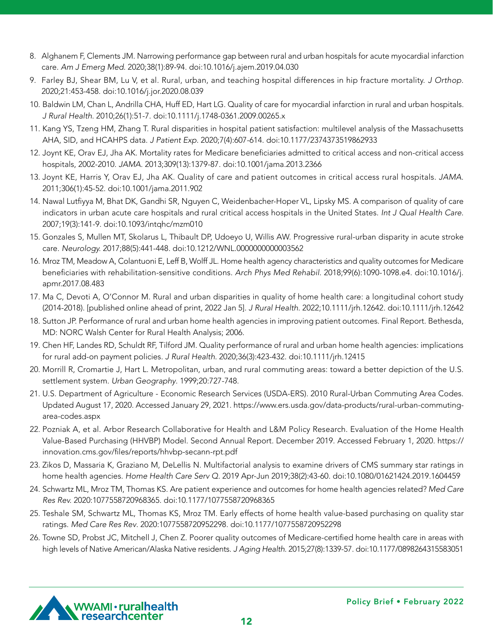- 8. Alghanem F, Clements JM. Narrowing performance gap between rural and urban hospitals for acute myocardial infarction care. *Am J Emerg Med.* 2020;38(1):89-94. doi:10.1016/j.ajem.2019.04.030
- 9. Farley BJ, Shear BM, Lu V, et al. Rural, urban, and teaching hospital differences in hip fracture mortality. *J Orthop.*  2020;21:453-458. doi:10.1016/j.jor.2020.08.039
- 10. Baldwin LM, Chan L, Andrilla CHA, Huff ED, Hart LG. Quality of care for myocardial infarction in rural and urban hospitals. *J Rural Health*. 2010;26(1):51-7. doi:10.1111/j.1748-0361.2009.00265.x
- 11. Kang YS, Tzeng HM, Zhang T. Rural disparities in hospital patient satisfaction: multilevel analysis of the Massachusetts AHA, SID, and HCAHPS data. *J Patient Exp*. 2020;7(4):607-614. doi:10.1177/2374373519862933
- 12. Joynt KE, Orav EJ, Jha AK. Mortality rates for Medicare beneficiaries admitted to critical access and non-critical access hospitals, 2002-2010. *JAMA.* 2013;309(13):1379-87. doi:10.1001/jama.2013.2366
- 13. Joynt KE, Harris Y, Orav EJ, Jha AK. Quality of care and patient outcomes in critical access rural hospitals. *JAMA*. 2011;306(1):45-52. doi:10.1001/jama.2011.902
- 14. Nawal Lutfiyya M, Bhat DK, Gandhi SR, Nguyen C, Weidenbacher-Hoper VL, Lipsky MS. A comparison of quality of care indicators in urban acute care hospitals and rural critical access hospitals in the United States. *Int J Qual Health Care.*  2007;19(3):141-9. doi:10.1093/intqhc/mzm010
- 15. Gonzales S, Mullen MT, Skolarus L, Thibault DP, Udoeyo U, Willis AW. Progressive rural-urban disparity in acute stroke care. Neurology. 2017;88(5):441-448. doi:10.1212/WNL.0000000000003562
- 16. Mroz TM, Meadow A, Colantuoni E, Leff B, Wolff JL. Home health agency characteristics and quality outcomes for Medicare beneficiaries with rehabilitation-sensitive conditions. Arch Phys Med Rehabil. 2018;99(6):1090-1098.e4. doi:10.1016/j. apmr.2017.08.483
- 17. Ma C, Devoti A, O'Connor M. Rural and urban disparities in quality of home health care: a longitudinal cohort study (2014-2018). [published online ahead of print, 2022 Jan 5]. *J Rural Health*. 2022;10.1111/jrh.12642. doi:10.1111/jrh.12642
- 18. Sutton JP. Performance of rural and urban home health agencies in improving patient outcomes. Final Report. Bethesda, MD: NORC Walsh Center for Rural Health Analysis; 2006.
- 19. Chen HF, Landes RD, Schuldt RF, Tilford JM. Quality performance of rural and urban home health agencies: implications for rural add-on payment policies. *J Rural Health*. 2020;36(3):423-432. doi:10.1111/jrh.12415
- 20. Morrill R, Cromartie J, Hart L. Metropolitan, urban, and rural commuting areas: toward a better depiction of the U.S. settlement system. Urban Geography. 1999;20:727-748.
- 21. U.S. Department of Agriculture Economic Research Services (USDA-ERS). 2010 Rural-Urban Commuting Area Codes. Updated August 17, 2020. Accessed January 29, 2021. https://www.ers.usda.gov/data-products/rural-urban-commutingarea-codes.aspx
- 22. Pozniak A, et al. Arbor Research Collaborative for Health and L&M Policy Research. Evaluation of the Home Health Value-Based Purchasing (HHVBP) Model. Second Annual Report. December 2019. Accessed February 1, 2020. https:// innovation.cms.gov/files/reports/hhvbp-secann-rpt.pdf
- 23. Zikos D, Massaria K, Graziano M, DeLellis N. Multifactorial analysis to examine drivers of CMS summary star ratings in home health agencies. *Home Health Care Serv Q.* 2019 Apr-Jun 2019;38(2):43-60. doi:10.1080/01621424.2019.1604459
- 24. Schwartz ML, Mroz TM, Thomas KS. Are patient experience and outcomes for home health agencies related? *Med Care Res Rev.* 2020:1077558720968365. doi:10.1177/1077558720968365
- 25. Teshale SM, Schwartz ML, Thomas KS, Mroz TM. Early effects of home health value-based purchasing on quality star ratings. *Med Care Res Rev*. 2020:1077558720952298. doi:10.1177/1077558720952298
- 26. Towne SD, Probst JC, Mitchell J, Chen Z. Poorer quality outcomes of Medicare-certified home health care in areas with high levels of Native American/Alaska Native residents. *J Aging Health*. 2015;27(8):1339-57. doi:10.1177/0898264315583051